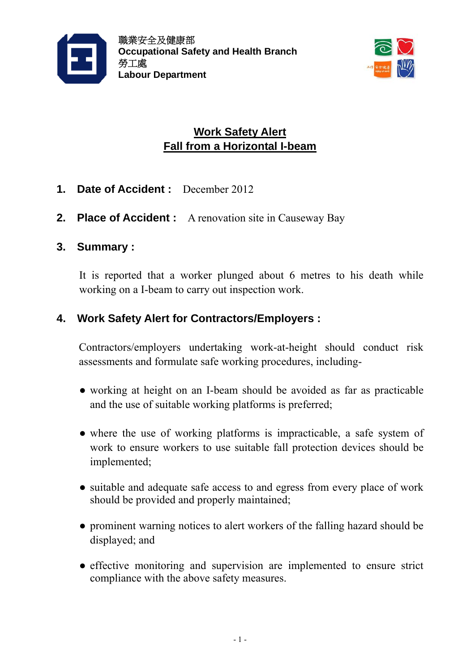



# **Work Safety Alert Fall from a Horizontal I-beam**

- **1. Date of Accident :** December 2012
- **2. Place of Accident :** A renovation site in Causeway Bay

### **3. Summary :**

It is reported that a worker plunged about 6 metres to his death while working on a I-beam to carry out inspection work.

## **4. Work Safety Alert for Contractors/Employers :**

Contractors/employers undertaking work-at-height should conduct risk assessments and formulate safe working procedures, including-

- working at height on an I-beam should be avoided as far as practicable and the use of suitable working platforms is preferred;
- where the use of working platforms is impracticable, a safe system of work to ensure workers to use suitable fall protection devices should be implemented;
- suitable and adequate safe access to and egress from every place of work should be provided and properly maintained;
- prominent warning notices to alert workers of the falling hazard should be displayed; and
- effective monitoring and supervision are implemented to ensure strict compliance with the above safety measures.